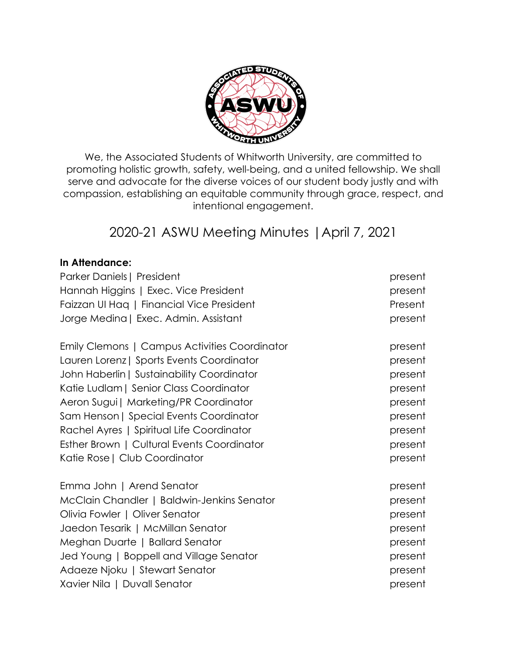

We, the Associated Students of Whitworth University, are committed to promoting holistic growth, safety, well-being, and a united fellowship. We shall serve and advocate for the diverse voices of our student body justly and with compassion, establishing an equitable community through grace, respect, and intentional engagement.

# 2020-21 ASWU Meeting Minutes |April 7, 2021

#### **In Attendance:**

| Parker Daniels   President                    | present |
|-----------------------------------------------|---------|
| Hannah Higgins   Exec. Vice President         | present |
| Faizzan UI Hag   Financial Vice President     | Present |
| Jorge Medina   Exec. Admin. Assistant         | present |
| Emily Clemons   Campus Activities Coordinator | present |
| Lauren Lorenz   Sports Events Coordinator     | present |
| John Haberlin   Sustainability Coordinator    | present |
| Katie Ludlam   Senior Class Coordinator       | present |
| Aeron Sugui   Marketing/PR Coordinator        | present |
| Sam Henson   Special Events Coordinator       | present |
| Rachel Ayres   Spiritual Life Coordinator     | present |
| Esther Brown   Cultural Events Coordinator    | present |
| Katie Rose   Club Coordinator                 | present |
| Emma John   Arend Senator                     | present |
| McClain Chandler   Baldwin-Jenkins Senator    | present |
| Olivia Fowler   Oliver Senator                | present |
| Jaedon Tesarik   McMillan Senator             | present |
| Meghan Duarte   Ballard Senator               | present |
| Jed Young   Boppell and Village Senator       | present |
| Adaeze Njoku   Stewart Senator                | present |
| Xavier Nila   Duvall Senator                  | present |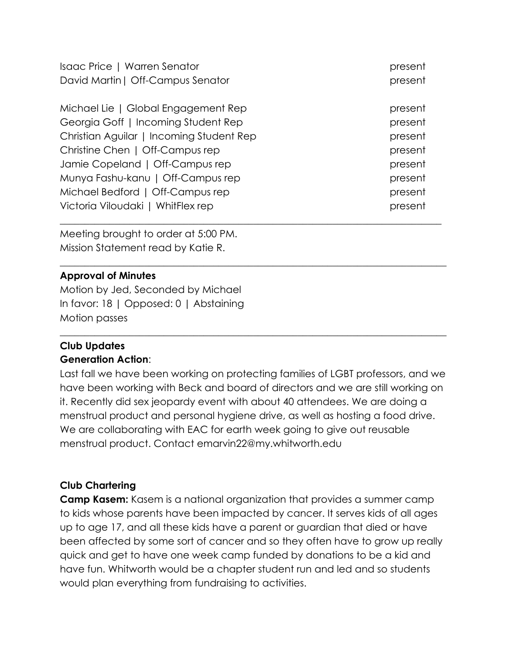| Isaac Price   Warren Senator             | present |
|------------------------------------------|---------|
| David Martin   Off-Campus Senator        | present |
|                                          |         |
| Michael Lie   Global Engagement Rep      | present |
| Georgia Goff   Incoming Student Rep      | present |
| Christian Aguilar   Incoming Student Rep | present |
| Christine Chen   Off-Campus rep          | present |
| Jamie Copeland   Off-Campus rep          | present |
| Munya Fashu-kanu   Off-Campus rep        | present |
| Michael Bedford   Off-Campus rep         | present |
| Victoria Viloudaki   WhitFlex rep        | present |
|                                          |         |

Meeting brought to order at 5:00 PM. Mission Statement read by Katie R.

# **Approval of Minutes**

Motion by Jed, Seconded by Michael In favor: 18 | Opposed: 0 | Abstaining Motion passes

# **Club Updates**

# **Generation Action**:

Last fall we have been working on protecting families of LGBT professors, and we have been working with Beck and board of directors and we are still working on it. Recently did sex jeopardy event with about 40 attendees. We are doing a menstrual product and personal hygiene drive, as well as hosting a food drive. We are collaborating with EAC for earth week going to give out reusable menstrual product. Contact emarvin22@my.whitworth.edu

\_\_\_\_\_\_\_\_\_\_\_\_\_\_\_\_\_\_\_\_\_\_\_\_\_\_\_\_\_\_\_\_\_\_\_\_\_\_\_\_\_\_\_\_\_\_\_\_\_\_\_\_\_\_\_\_\_\_\_\_\_\_\_\_\_\_\_\_\_\_\_\_\_\_\_\_\_\_

 $\_$  , and the set of the set of the set of the set of the set of the set of the set of the set of the set of the set of the set of the set of the set of the set of the set of the set of the set of the set of the set of th

# **Club Chartering**

**Camp Kasem:** Kasem is a national organization that provides a summer camp to kids whose parents have been impacted by cancer. It serves kids of all ages up to age 17, and all these kids have a parent or guardian that died or have been affected by some sort of cancer and so they often have to grow up really quick and get to have one week camp funded by donations to be a kid and have fun. Whitworth would be a chapter student run and led and so students would plan everything from fundraising to activities.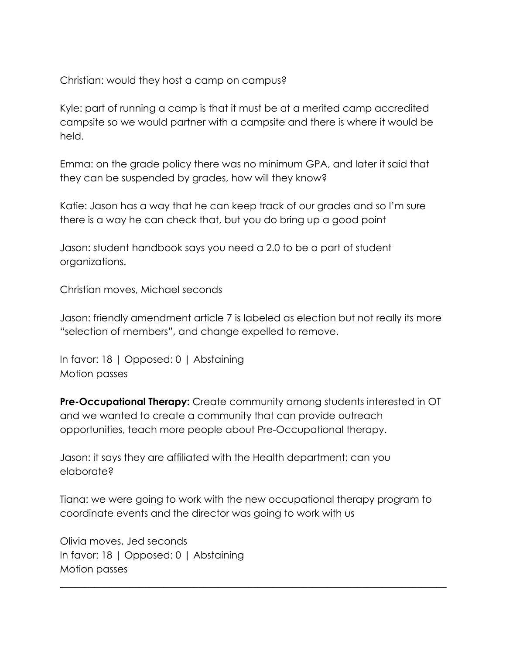Christian: would they host a camp on campus?

Kyle: part of running a camp is that it must be at a merited camp accredited campsite so we would partner with a campsite and there is where it would be held.

Emma: on the grade policy there was no minimum GPA, and later it said that they can be suspended by grades, how will they know?

Katie: Jason has a way that he can keep track of our grades and so I'm sure there is a way he can check that, but you do bring up a good point

Jason: student handbook says you need a 2.0 to be a part of student organizations.

Christian moves, Michael seconds

Jason: friendly amendment article 7 is labeled as election but not really its more "selection of members", and change expelled to remove.

In favor: 18 | Opposed: 0 | Abstaining Motion passes

**Pre-Occupational Therapy:** Create community among students interested in OT and we wanted to create a community that can provide outreach opportunities, teach more people about Pre-Occupational therapy.

Jason: it says they are affiliated with the Health department; can you elaborate?

Tiana: we were going to work with the new occupational therapy program to coordinate events and the director was going to work with us

 $\_$  , and the set of the set of the set of the set of the set of the set of the set of the set of the set of the set of the set of the set of the set of the set of the set of the set of the set of the set of the set of th

Olivia moves, Jed seconds In favor: 18 | Opposed: 0 | Abstaining Motion passes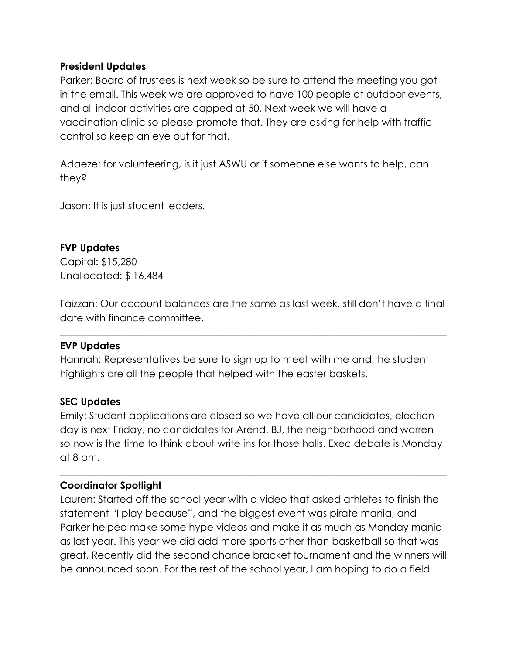#### **President Updates**

Parker: Board of trustees is next week so be sure to attend the meeting you got in the email. This week we are approved to have 100 people at outdoor events, and all indoor activities are capped at 50. Next week we will have a vaccination clinic so please promote that. They are asking for help with traffic control so keep an eye out for that.

Adaeze: for volunteering, is it just ASWU or if someone else wants to help, can they?

Jason: It is just student leaders.

#### **FVP Updates**

Capital: \$15,280 Unallocated: \$ 16,484

Faizzan: Our account balances are the same as last week, still don't have a final date with finance committee.

 $\_$  , and the set of the set of the set of the set of the set of the set of the set of the set of the set of the set of the set of the set of the set of the set of the set of the set of the set of the set of the set of th

 $\_$  , and the set of the set of the set of the set of the set of the set of the set of the set of the set of the set of the set of the set of the set of the set of the set of the set of the set of the set of the set of th

#### **EVP Updates**

Hannah: Representatives be sure to sign up to meet with me and the student highlights are all the people that helped with the easter baskets.

#### **SEC Updates**

Emily: Student applications are closed so we have all our candidates, election day is next Friday, no candidates for Arend, BJ, the neighborhood and warren so now is the time to think about write ins for those halls. Exec debate is Monday at 8 pm.

 $\_$  , and the set of the set of the set of the set of the set of the set of the set of the set of the set of the set of the set of the set of the set of the set of the set of the set of the set of the set of the set of th

 $\_$  , and the set of the set of the set of the set of the set of the set of the set of the set of the set of the set of the set of the set of the set of the set of the set of the set of the set of the set of the set of th

#### **Coordinator Spotlight**

Lauren: Started off the school year with a video that asked athletes to finish the statement "I play because", and the biggest event was pirate mania, and Parker helped make some hype videos and make it as much as Monday mania as last year. This year we did add more sports other than basketball so that was great. Recently did the second chance bracket tournament and the winners will be announced soon. For the rest of the school year, I am hoping to do a field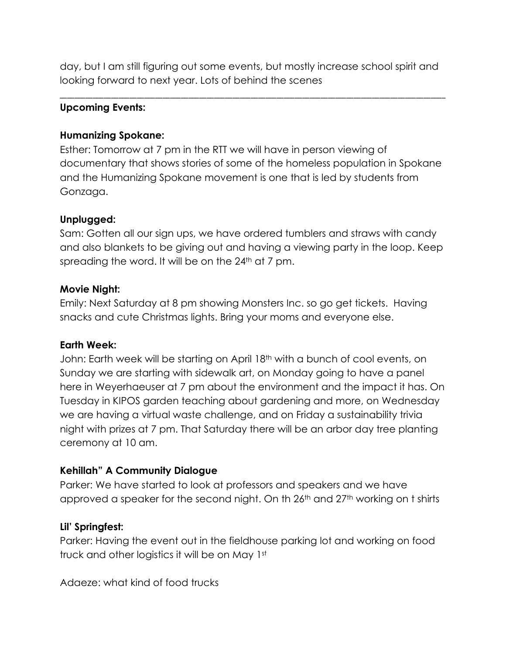day, but I am still figuring out some events, but mostly increase school spirit and looking forward to next year. Lots of behind the scenes

\_\_\_\_\_\_\_\_\_\_\_\_\_\_\_\_\_\_\_\_\_\_\_\_\_\_\_\_\_\_\_\_\_\_\_\_\_\_\_\_\_\_\_\_\_\_\_\_\_\_\_\_\_\_\_\_\_\_\_\_\_\_\_\_\_\_\_\_\_\_\_\_\_\_\_\_\_\_\_\_\_\_\_\_\_\_\_\_\_\_\_\_\_\_\_\_\_\_\_\_\_\_\_\_\_

#### **Upcoming Events:**

#### **Humanizing Spokane:**

Esther: Tomorrow at 7 pm in the RTT we will have in person viewing of documentary that shows stories of some of the homeless population in Spokane and the Humanizing Spokane movement is one that is led by students from Gonzaga.

#### **Unplugged:**

Sam: Gotten all our sign ups, we have ordered tumblers and straws with candy and also blankets to be giving out and having a viewing party in the loop. Keep spreading the word. It will be on the 24<sup>th</sup> at 7 pm.

#### **Movie Night:**

Emily: Next Saturday at 8 pm showing Monsters Inc. so go get tickets. Having snacks and cute Christmas lights. Bring your moms and everyone else.

#### **Earth Week:**

John: Earth week will be starting on April 18th with a bunch of cool events, on Sunday we are starting with sidewalk art, on Monday going to have a panel here in Weyerhaeuser at 7 pm about the environment and the impact it has. On Tuesday in KIPOS garden teaching about gardening and more, on Wednesday we are having a virtual waste challenge, and on Friday a sustainability trivia night with prizes at 7 pm. That Saturday there will be an arbor day tree planting ceremony at 10 am.

#### **Kehillah" A Community Dialogue**

Parker: We have started to look at professors and speakers and we have approved a speaker for the second night. On th 26<sup>th</sup> and 27<sup>th</sup> working on t shirts

#### **Lil' Springfest:**

Parker: Having the event out in the fieldhouse parking lot and working on food truck and other logistics it will be on May 1st

Adaeze: what kind of food trucks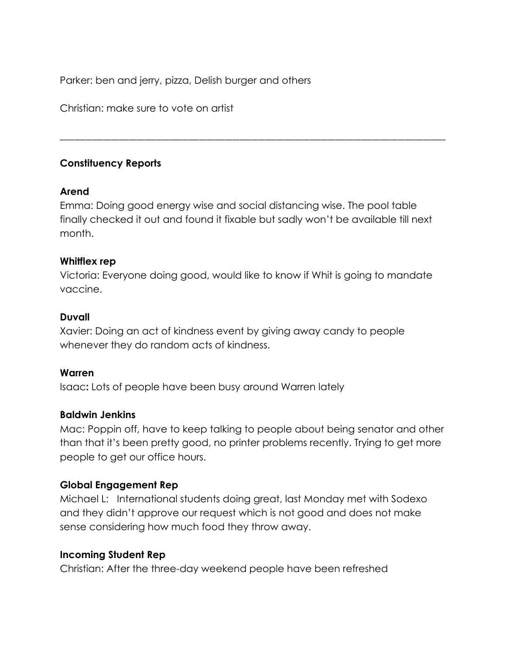Parker: ben and jerry, pizza, Delish burger and others

Christian: make sure to vote on artist

# **Constituency Reports**

#### **Arend**

Emma: Doing good energy wise and social distancing wise. The pool table finally checked it out and found it fixable but sadly won't be available till next month.

\_\_\_\_\_\_\_\_\_\_\_\_\_\_\_\_\_\_\_\_\_\_\_\_\_\_\_\_\_\_\_\_\_\_\_\_\_\_\_\_\_\_\_\_\_\_\_\_\_\_\_\_\_\_\_\_\_\_\_\_\_\_\_\_\_\_\_\_\_\_\_\_\_\_\_\_\_\_\_\_\_\_\_\_\_\_\_\_\_\_\_\_\_\_\_\_\_\_\_\_\_\_\_\_\_

# **Whitflex rep**

Victoria: Everyone doing good, would like to know if Whit is going to mandate vaccine.

# **Duvall**

Xavier: Doing an act of kindness event by giving away candy to people whenever they do random acts of kindness.

#### **Warren**

Isaac**:** Lots of people have been busy around Warren lately

# **Baldwin Jenkins**

Mac: Poppin off, have to keep talking to people about being senator and other than that it's been pretty good, no printer problems recently. Trying to get more people to get our office hours.

# **Global Engagement Rep**

Michael L: International students doing great, last Monday met with Sodexo and they didn't approve our request which is not good and does not make sense considering how much food they throw away.

#### **Incoming Student Rep**

Christian: After the three-day weekend people have been refreshed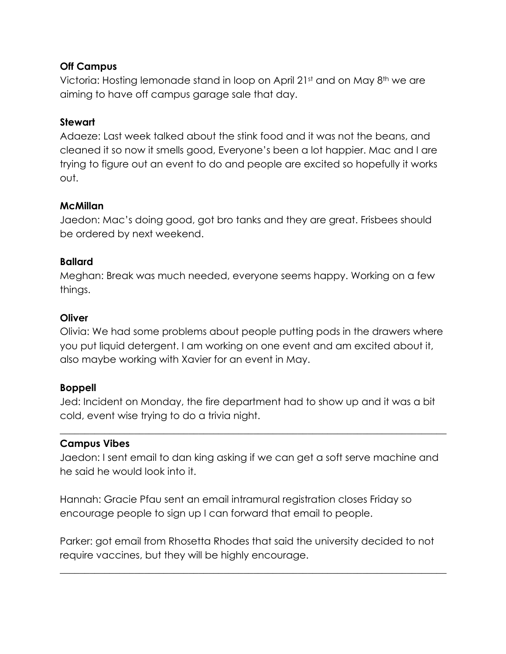# **Off Campus**

Victoria: Hosting lemonade stand in loop on April 21st and on May 8<sup>th</sup> we are aiming to have off campus garage sale that day.

# **Stewart**

Adaeze: Last week talked about the stink food and it was not the beans, and cleaned it so now it smells good, Everyone's been a lot happier. Mac and I are trying to figure out an event to do and people are excited so hopefully it works out.

#### **McMillan**

Jaedon: Mac's doing good, got bro tanks and they are great. Frisbees should be ordered by next weekend.

#### **Ballard**

Meghan: Break was much needed, everyone seems happy. Working on a few things.

#### **Oliver**

Olivia: We had some problems about people putting pods in the drawers where you put liquid detergent. I am working on one event and am excited about it, also maybe working with Xavier for an event in May.

#### **Boppell**

Jed: Incident on Monday, the fire department had to show up and it was a bit cold, event wise trying to do a trivia night.

 $\_$  , and the set of the set of the set of the set of the set of the set of the set of the set of the set of the set of the set of the set of the set of the set of the set of the set of the set of the set of the set of th

#### **Campus Vibes**

Jaedon: I sent email to dan king asking if we can get a soft serve machine and he said he would look into it.

Hannah: Gracie Pfau sent an email intramural registration closes Friday so encourage people to sign up I can forward that email to people.

Parker: got email from Rhosetta Rhodes that said the university decided to not require vaccines, but they will be highly encourage.

 $\_$  , and the set of the set of the set of the set of the set of the set of the set of the set of the set of the set of the set of the set of the set of the set of the set of the set of the set of the set of the set of th